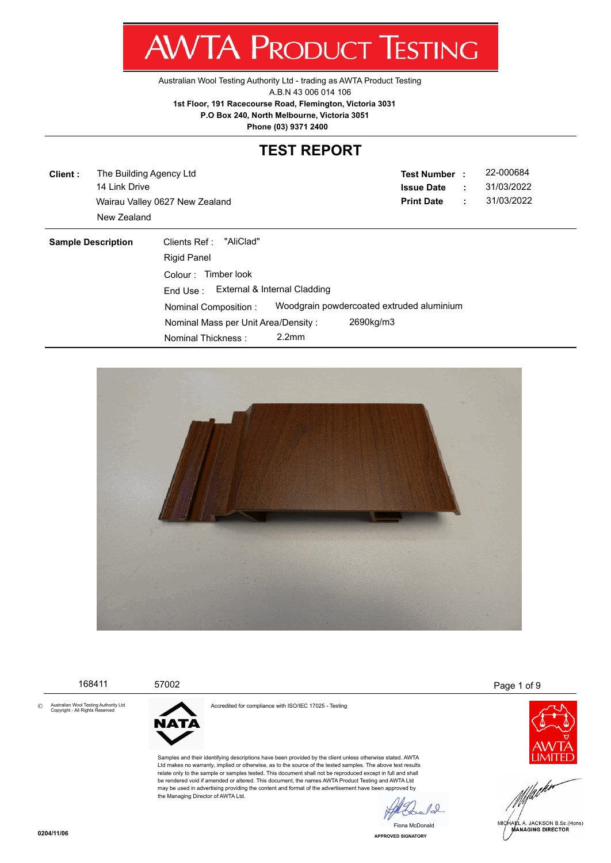Z. WV I/ V I NUDUCT IESHING

[Australian Wool Testing Authority Ltd - trading as AWTA Product Testing](http://www.awta.com.au/index.php/en/)

A.B.N 43 006 014 106

**1st Floor, 191 Racecourse Road, Flemington, Victoria 3031**

 **P.O Box 240, North Melbourne, Victoria 3051**

**Phone (03) 9371 2400**

# **TEST REPORT**

**Client :** 14 Link Drive Wairau Valley 0627 New Zealand **Print Date** : 31/03/2022 The Building Agency Ltd New Zealand

**Test Number : Issue Date :** 22-000684 31/03/2022

| <b>Sample Description</b> | "AliClad"<br>Clients Ref :<br><b>Rigid Panel</b> |                   |                                           |  |
|---------------------------|--------------------------------------------------|-------------------|-------------------------------------------|--|
|                           | Timber look<br>Colour :                          |                   |                                           |  |
|                           | External & Internal Cladding<br>End Use:         |                   |                                           |  |
|                           | Nominal Composition:                             |                   | Woodgrain powdercoated extruded aluminium |  |
|                           | Nominal Mass per Unit Area/Density :             |                   | 2690kg/m3                                 |  |
|                           | Nominal Thickness:                               | 2.2 <sub>mm</sub> |                                           |  |



|         | 168411                                                                   | 57002                                             |                                                                                                                                                                                                                                                                                                                                                                                                                                                                                                                                                                                                                   |                | Page 1 of 9                    |
|---------|--------------------------------------------------------------------------|---------------------------------------------------|-------------------------------------------------------------------------------------------------------------------------------------------------------------------------------------------------------------------------------------------------------------------------------------------------------------------------------------------------------------------------------------------------------------------------------------------------------------------------------------------------------------------------------------------------------------------------------------------------------------------|----------------|--------------------------------|
| $\circ$ | Australian Wool Testing Authority Ltd<br>Copyright - All Rights Reserved | <b>NATA</b><br>the Managing Director of AWTA Ltd. | Accredited for compliance with ISO/IEC 17025 - Testing<br>Samples and their identifying descriptions have been provided by the client unless otherwise stated. AWTA<br>Ltd makes no warranty, implied or otherwise, as to the source of the tested samples. The above test results<br>relate only to the sample or samples tested. This document shall not be reproduced except in full and shall<br>be rendered void if amended or altered. This document, the names AWTA Product Testing and AWTA Ltd<br>may be used in advertising providing the content and format of the advertisement have been approved by |                | MICHAEL A. JACKSON B.Sc.(Hons) |
|         |                                                                          |                                                   |                                                                                                                                                                                                                                                                                                                                                                                                                                                                                                                                                                                                                   | Fiona McDonald |                                |

**APPROVED SIGNATORY** Fiona McDonald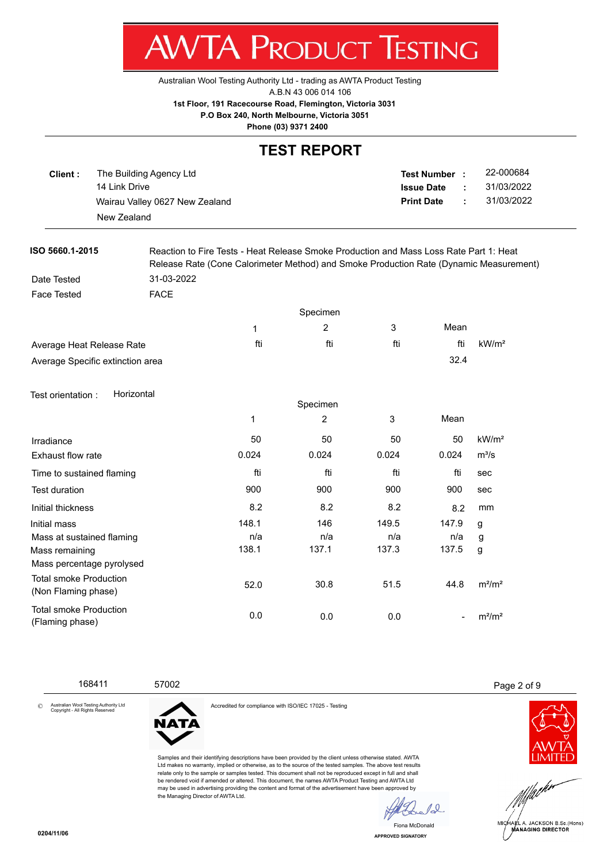7 WV I/VI NUDUCT IEJHNU

[Australian Wool Testing Authority Ltd - trading as AWTA Product Testing](http://www.awta.com.au/index.php/en/)

A.B.N 43 006 014 106

**1st Floor, 191 Racecourse Road, Flemington, Victoria 3031**

 **P.O Box 240, North Melbourne, Victoria 3051**

**Phone (03) 9371 2400**

#### **TEST REPORT**

| Client : | The Building Agency Ltd        | <b>Test Number</b> |        | 22-000684  |
|----------|--------------------------------|--------------------|--------|------------|
|          | 14 Link Drive                  | <b>Issue Date</b>  | п.,    | 31/03/2022 |
|          | Wairau Valley 0627 New Zealand | <b>Print Date</b>  | $\sim$ | 31/03/2022 |
|          | New Zealand                    |                    |        |            |

**ISO 5660.1-2015** Reaction to Fire Tests - Heat Release Smoke Production and Mass Loss Rate Part 1: Heat Release Rate (Cone Calorimeter Method) and Smoke Production Rate (Dynamic Measurement) Date Tested 31-03-2022

Face Tested **FACE** 

|                                  | Specimen |          |     |      |                   |
|----------------------------------|----------|----------|-----|------|-------------------|
|                                  |          | 2        | 3   | Mean |                   |
| Average Heat Release Rate        | fti      | fti      | fti | fti  | kW/m <sup>2</sup> |
| Average Specific extinction area |          |          |     | 32.4 |                   |
| Horizontal<br>Test orientation:  |          |          |     |      |                   |
|                                  |          | Specimen |     |      |                   |
|                                  | 1        | 2        | 3   | Mean |                   |

|                                                      |       | ∠     | J     | <b>IVICALI</b> |                   |
|------------------------------------------------------|-------|-------|-------|----------------|-------------------|
| Irradiance                                           | 50    | 50    | 50    | 50             | kW/m <sup>2</sup> |
| <b>Exhaust flow rate</b>                             | 0.024 | 0.024 | 0.024 | 0.024          | $m^3/s$           |
| Time to sustained flaming                            | fti   | fti   | fti   | fti            | sec               |
| Test duration                                        | 900   | 900   | 900   | 900            | sec               |
| Initial thickness                                    | 8.2   | 8.2   | 8.2   | 8.2            | mm                |
| Initial mass                                         | 148.1 | 146   | 149.5 | 147.9          | g                 |
| Mass at sustained flaming                            | n/a   | n/a   | n/a   | n/a            | g                 |
| Mass remaining                                       | 138.1 | 137.1 | 137.3 | 137.5          | g                 |
| Mass percentage pyrolysed                            |       |       |       |                |                   |
| <b>Total smoke Production</b><br>(Non Flaming phase) | 52.0  | 30.8  | 51.5  | 44.8           | $m^2/m^2$         |
| Total smoke Production<br>(Flaming phase)            | 0.0   | 0.0   | 0.0   |                | $m^2/m^2$         |

168411 57002 Page 2 of 9





the Managing Director of AWTA Ltd.

Accredited for compliance with ISO/IEC 17025 - Testing

Samples and their identifying descriptions have been provided by the client unless otherwise stated. AWTA Ltd makes no warranty, implied or otherwise, as to the source of the tested samples. The above test results relate only to the sample or samples tested. This document shall not be reproduced except in full and shall be rendered void if amended or altered. This document, the names AWTA Product Testing and AWTA Ltd may be used in advertising providing the content and format of the advertisement have been approved by





**APPROVED SIGNATORY** Fiona McDonald

 $\sqrt{2}$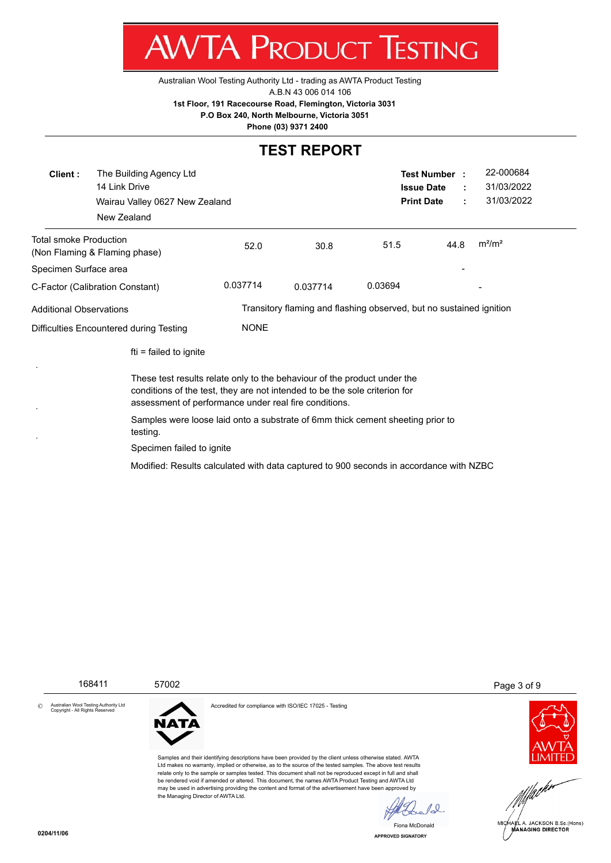

[Australian Wool Testing Authority Ltd - trading as AWTA Product Testing](http://www.awta.com.au/index.php/en/)

A.B.N 43 006 014 106

**1st Floor, 191 Racecourse Road, Flemington, Victoria 3031**

 **P.O Box 240, North Melbourne, Victoria 3051**

**Phone (03) 9371 2400**

# **TEST REPORT**

| Client:                                                                                                                                                                                                         | The Building Agency Ltd<br>14 Link Drive<br>Wairau Valley 0627 New Zealand<br>New Zealand |             |          | <b>Issue Date</b><br><b>Print Date</b>                              | Test Number : | 22-000684<br>31/03/2022<br>31/03/2022 |
|-----------------------------------------------------------------------------------------------------------------------------------------------------------------------------------------------------------------|-------------------------------------------------------------------------------------------|-------------|----------|---------------------------------------------------------------------|---------------|---------------------------------------|
| Total smoke Production                                                                                                                                                                                          | (Non Flaming & Flaming phase)                                                             | 52.0        | 30.8     | 51.5                                                                | 44.8          | $m^2/m^2$                             |
| Specimen Surface area                                                                                                                                                                                           |                                                                                           |             |          |                                                                     |               |                                       |
|                                                                                                                                                                                                                 | C-Factor (Calibration Constant)                                                           | 0.037714    | 0.037714 | 0.03694                                                             |               |                                       |
| Additional Observations                                                                                                                                                                                         |                                                                                           |             |          | Transitory flaming and flashing observed, but no sustained ignition |               |                                       |
| Difficulties Encountered during Testing                                                                                                                                                                         |                                                                                           | <b>NONE</b> |          |                                                                     |               |                                       |
|                                                                                                                                                                                                                 | fti = failed to ignite                                                                    |             |          |                                                                     |               |                                       |
| These test results relate only to the behaviour of the product under the<br>conditions of the test, they are not intended to be the sole criterion for<br>assessment of performance under real fire conditions. |                                                                                           |             |          |                                                                     |               |                                       |
| Samples were loose laid onto a substrate of 6mm thick cement sheeting prior to<br>testing.                                                                                                                      |                                                                                           |             |          |                                                                     |               |                                       |
| Specimen failed to ignite                                                                                                                                                                                       |                                                                                           |             |          |                                                                     |               |                                       |
|                                                                                                                                                                                                                 | Modified: Results calculated with data captured to 900 seconds in accordance with NZBC    |             |          |                                                                     |               |                                       |

168411 57002 Page 3 of 9





Accredited for compliance with ISO/IEC 17025 - Testing



 $\ell_{\infty}$ 

**APPROVED SIGNATORY** Fiona McDonald



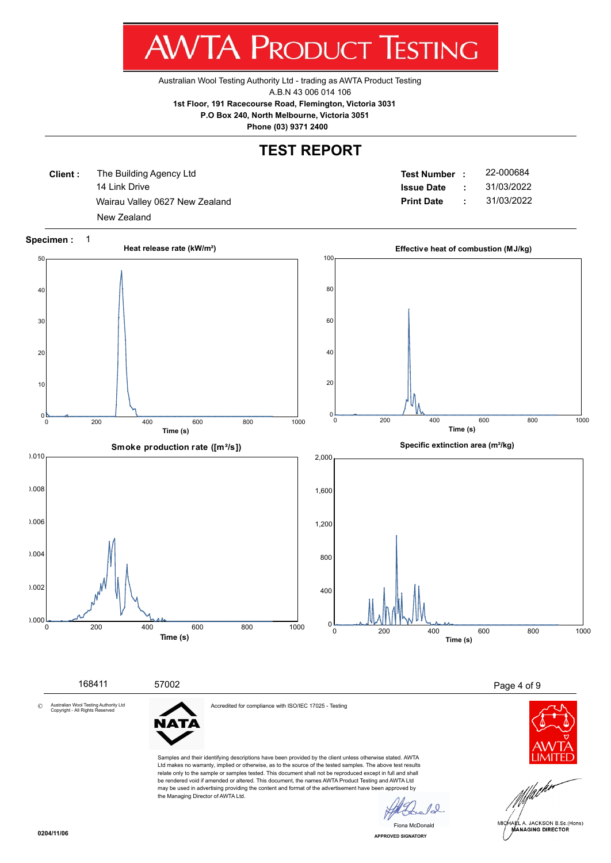

[Australian Wool Testing Authority Ltd - trading as AWTA Product Testing](http://www.awta.com.au/index.php/en/)

A.B.N 43 006 014 106

**1st Floor, 191 Racecourse Road, Flemington, Victoria 3031**

 **P.O Box 240, North Melbourne, Victoria 3051**

**Phone (03) 9371 2400**

#### **TEST REPORT**

**Client :** 14 Link Drive Wairau Valley 0627 New Zealand **Print Date :** 31/03/2022 The Building Agency Ltd New Zealand

**Test Number : Issue Date :** 22-000684 31/03/2022



Ltd makes no warranty, implied or otherwise, as to the source of the tested samples. The above test results relate only to the sample or samples tested. This document shall not be reproduced except in full and shall be rendered void if amended or altered. This document, the names AWTA Product Testing and AWTA Ltd may be used in advertising providing the content and format of the advertisement have been approved by the Managing Director of AWTA Ltd.

 $10^{-1}$ 

**APPROVED SIGNATORY** Fiona McDonald

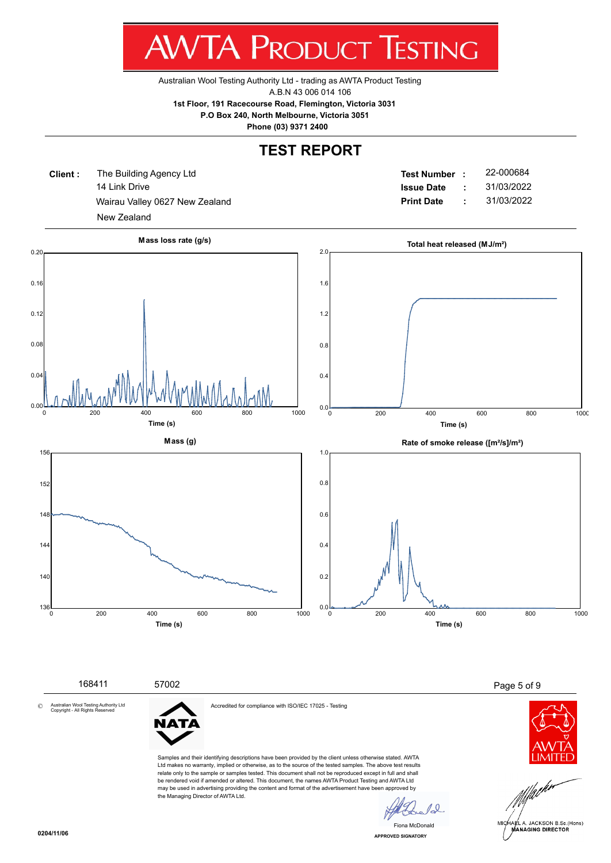w v  $\mathbf{I}$ ш NUDUCT п ש

[Australian Wool Testing Authority Ltd - trading as AWTA Product Testing](http://www.awta.com.au/index.php/en/)

A.B.N 43 006 014 106

**1st Floor, 191 Racecourse Road, Flemington, Victoria 3031**

 **P.O Box 240, North Melbourne, Victoria 3051**

**Phone (03) 9371 2400**

# **TEST REPORT**

**Client :** 14 Link Drive Wairau Valley 0627 New Zealand **Print Date :** 31/03/2022 The Building Agency Ltd New Zealand

**Test Number : Issue Date :** 22-000684 31/03/2022



 168411 57002 Page 5 of 9 Accredited for compliance with ISO/IEC 17025 - Testing Australian Wool Testing Authority Ltd Copyright - All Rights Reserved **NATA** Samples and their identifying descriptions have been provided by the client unless otherwise stated. AWTA Ltd makes no warranty, implied or otherwise, as to the source of the tested samples. The above test results relate only to the sample or samples tested. This document shall not be reproduced except in full and shall be rendered void if amended or altered. This document, the names AWTA Product Testing and AWTA Ltd may be used in advertising providing the content and format of the advertisement have been approved by the Managing Director of AWTA Ltd.  $10^{-1}$ 



©

**APPROVED SIGNATORY** Fiona McDonald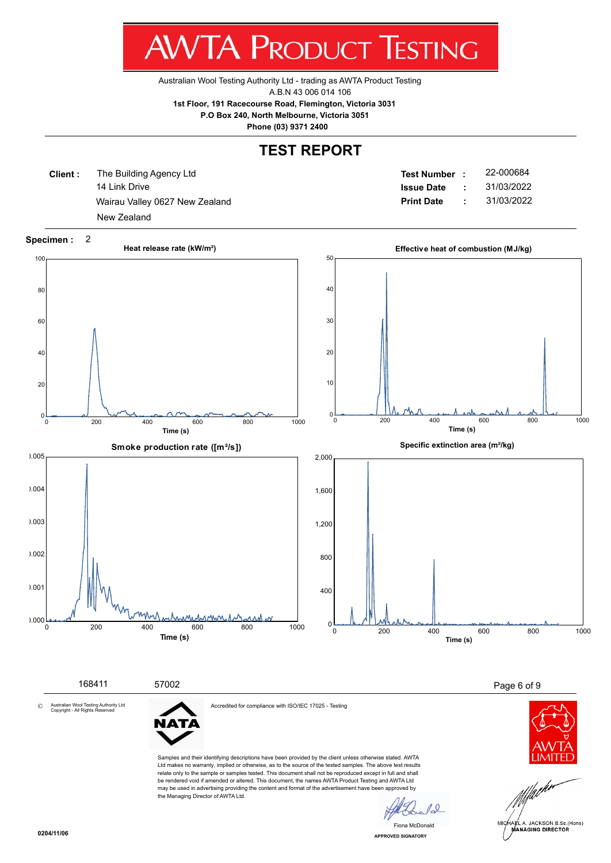w v  $\mathbf{L}$ **1** NUDUCT 1 E.J ш ש

[Australian Wool Testing Authority Ltd - trading as AWTA Product Testing](http://www.awta.com.au/index.php/en/)

A.B.N 43 006 014 106

**1st Floor, 191 Racecourse Road, Flemington, Victoria 3031**

 **P.O Box 240, North Melbourne, Victoria 3051**

**Phone (03) 9371 2400**

# **TEST REPORT**

**Client :** 14 Link Drive Wairau Valley 0627 New Zealand **Print Date :** 31/03/2022 The Building Agency Ltd New Zealand

**Test Number : Issue Date :** 22-000684 31/03/2022



**APPROVED SIGNATORY** Fiona McDonald

 $\overline{0}$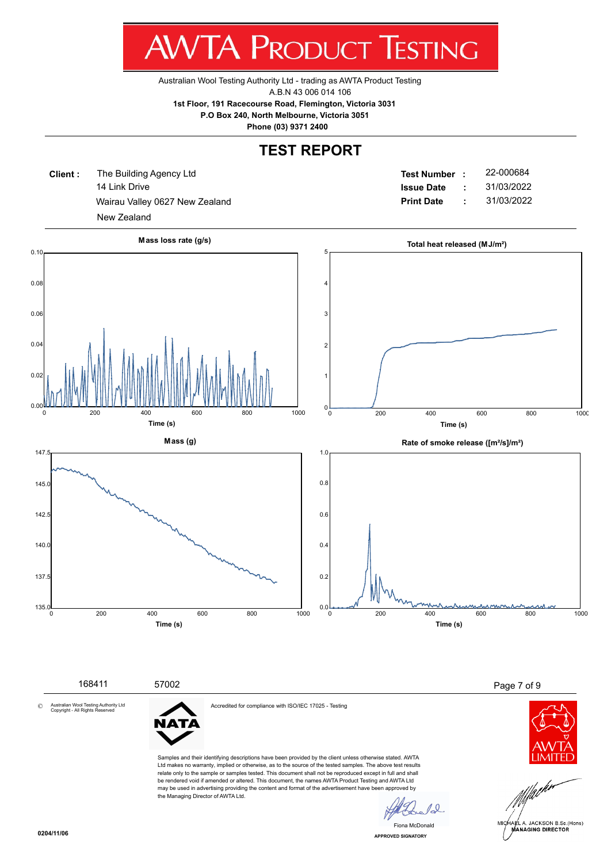w v л ш N ハート ш ש

[Australian Wool Testing Authority Ltd - trading as AWTA Product Testing](http://www.awta.com.au/index.php/en/)

A.B.N 43 006 014 106

**1st Floor, 191 Racecourse Road, Flemington, Victoria 3031**

 **P.O Box 240, North Melbourne, Victoria 3051**

**Phone (03) 9371 2400**

# **TEST REPORT**

**Client :** 14 Link Drive Wairau Valley 0627 New Zealand **Print Date :** 31/03/2022 The Building Agency Ltd New Zealand

**Test Number : Issue Date :** 22-000684 31/03/2022





**APPROVED SIGNATORY** Fiona McDonald

©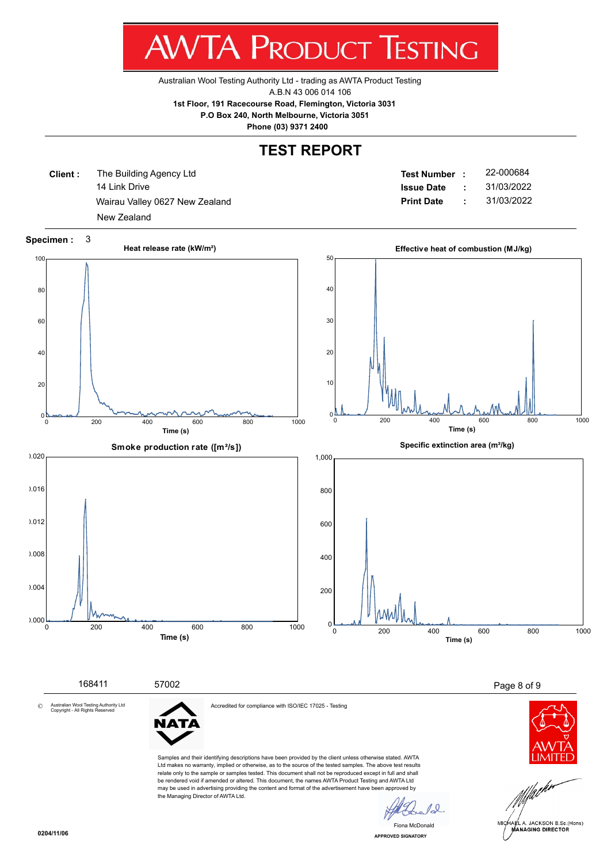w v  $\mathbf{I}$ ш NUDUCT нμ н ש

[Australian Wool Testing Authority Ltd - trading as AWTA Product Testing](http://www.awta.com.au/index.php/en/)

A.B.N 43 006 014 106

**1st Floor, 191 Racecourse Road, Flemington, Victoria 3031**

 **P.O Box 240, North Melbourne, Victoria 3051**

**Phone (03) 9371 2400**

# **TEST REPORT**

**Client :** 14 Link Drive Wairau Valley 0627 New Zealand **Print Date** : 31/03/2022 The Building Agency Ltd New Zealand

**Test Number : Issue Date :** 22-000684 31/03/2022



may be used in advertising providing the content and format of the advertisement have been approved by

the Managing Director of AWTA Ltd.

 $\overline{0}$ Fiona McDonald**APPROVED SIGNATORY**